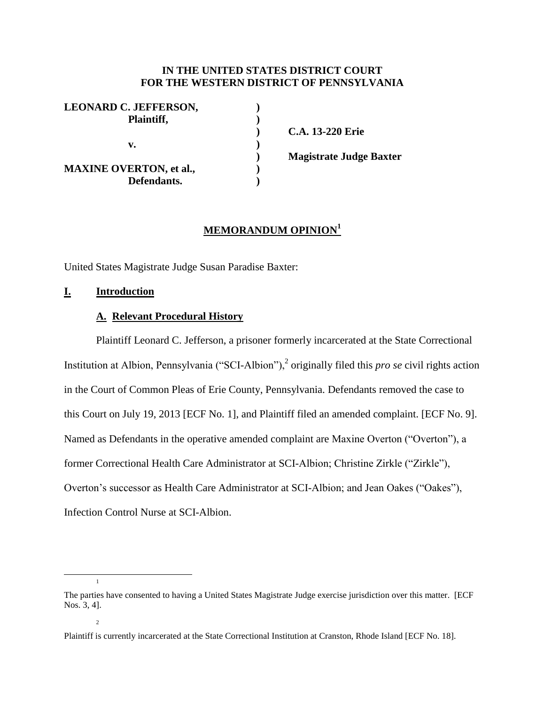### **IN THE UNITED STATES DISTRICT COURT FOR THE WESTERN DISTRICT OF PENNSYLVANIA**

**) C.A. 13-220 Erie**

**) Magistrate Judge Baxter**

# **MEMORANDUM OPINION<sup>1</sup>**

United States Magistrate Judge Susan Paradise Baxter:

### **I. Introduction**

### **A. Relevant Procedural History**

Plaintiff Leonard C. Jefferson, a prisoner formerly incarcerated at the State Correctional Institution at Albion, Pennsylvania ("SCI-Albion"),<sup>2</sup> originally filed this *pro se* civil rights action in the Court of Common Pleas of Erie County, Pennsylvania. Defendants removed the case to this Court on July 19, 2013 [ECF No. 1], and Plaintiff filed an amended complaint. [ECF No. 9]. Named as Defendants in the operative amended complaint are Maxine Overton ("Overton"), a former Correctional Health Care Administrator at SCI-Albion; Christine Zirkle ("Zirkle"), Overton's successor as Health Care Administrator at SCI-Albion; and Jean Oakes ("Oakes"), Infection Control Nurse at SCI-Albion.

1

2

 $\overline{a}$ 

The parties have consented to having a United States Magistrate Judge exercise jurisdiction over this matter. [ECF Nos. 3, 4].

Plaintiff is currently incarcerated at the State Correctional Institution at Cranston, Rhode Island [ECF No. 18].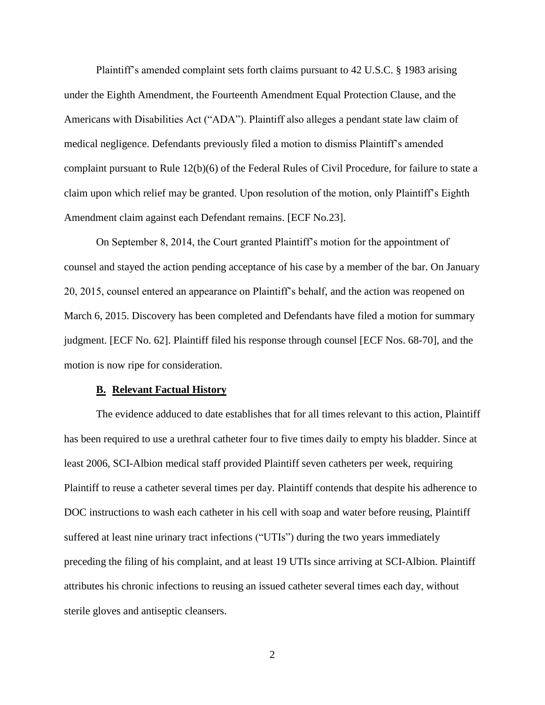Plaintiff's amended complaint sets forth claims pursuant to 42 U.S.C. § 1983 arising under the Eighth Amendment, the Fourteenth Amendment Equal Protection Clause, and the Americans with Disabilities Act ("ADA"). Plaintiff also alleges a pendant state law claim of medical negligence. Defendants previously filed a motion to dismiss Plaintiff's amended complaint pursuant to Rule 12(b)(6) of the Federal Rules of Civil Procedure, for failure to state a claim upon which relief may be granted. Upon resolution of the motion, only Plaintiff's Eighth Amendment claim against each Defendant remains. [ECF No.23].

On September 8, 2014, the Court granted Plaintiff's motion for the appointment of counsel and stayed the action pending acceptance of his case by a member of the bar. On January 20, 2015, counsel entered an appearance on Plaintiff's behalf, and the action was reopened on March 6, 2015. Discovery has been completed and Defendants have filed a motion for summary judgment. [ECF No. 62]. Plaintiff filed his response through counsel [ECF Nos. 68-70], and the motion is now ripe for consideration.

#### **B. Relevant Factual History**

The evidence adduced to date establishes that for all times relevant to this action, Plaintiff has been required to use a urethral catheter four to five times daily to empty his bladder. Since at least 2006, SCI-Albion medical staff provided Plaintiff seven catheters per week, requiring Plaintiff to reuse a catheter several times per day. Plaintiff contends that despite his adherence to DOC instructions to wash each catheter in his cell with soap and water before reusing, Plaintiff suffered at least nine urinary tract infections ("UTIs") during the two years immediately preceding the filing of his complaint, and at least 19 UTIs since arriving at SCI-Albion. Plaintiff attributes his chronic infections to reusing an issued catheter several times each day, without sterile gloves and antiseptic cleansers.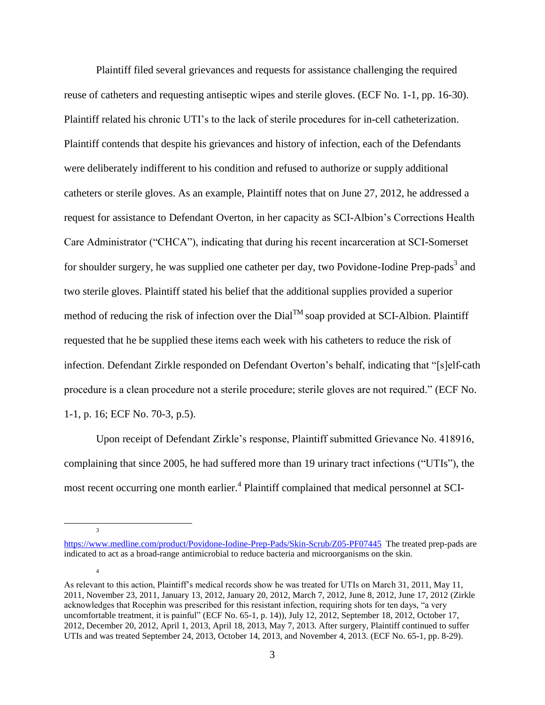Plaintiff filed several grievances and requests for assistance challenging the required reuse of catheters and requesting antiseptic wipes and sterile gloves. (ECF No. 1-1, pp. 16-30). Plaintiff related his chronic UTI's to the lack of sterile procedures for in-cell catheterization. Plaintiff contends that despite his grievances and history of infection, each of the Defendants were deliberately indifferent to his condition and refused to authorize or supply additional catheters or sterile gloves. As an example, Plaintiff notes that on June 27, 2012, he addressed a request for assistance to Defendant Overton, in her capacity as SCI-Albion's Corrections Health Care Administrator ("CHCA"), indicating that during his recent incarceration at SCI-Somerset for shoulder surgery, he was supplied one catheter per day, two Povidone-Iodine Prep-pads<sup>3</sup> and two sterile gloves. Plaintiff stated his belief that the additional supplies provided a superior method of reducing the risk of infection over the  $Dial^{TM}$  soap provided at SCI-Albion. Plaintiff requested that he be supplied these items each week with his catheters to reduce the risk of infection. Defendant Zirkle responded on Defendant Overton's behalf, indicating that "[s]elf-cath procedure is a clean procedure not a sterile procedure; sterile gloves are not required." (ECF No. 1-1, p. 16; ECF No. 70-3, p.5).

Upon receipt of Defendant Zirkle's response, Plaintiff submitted Grievance No. 418916, complaining that since 2005, he had suffered more than 19 urinary tract infections ("UTIs"), the most recent occurring one month earlier.<sup>4</sup> Plaintiff complained that medical personnel at SCI-

3

4

 $\overline{a}$ 

<https://www.medline.com/product/Povidone-Iodine-Prep-Pads/Skin-Scrub/Z05-PF07445>The treated prep-pads are indicated to act as a broad-range antimicrobial to reduce bacteria and microorganisms on the skin.

As relevant to this action, Plaintiff's medical records show he was treated for UTIs on March 31, 2011, May 11, 2011, November 23, 2011, January 13, 2012, January 20, 2012, March 7, 2012, June 8, 2012, June 17, 2012 (Zirkle acknowledges that Rocephin was prescribed for this resistant infection, requiring shots for ten days, "a very uncomfortable treatment, it is painful" (ECF No. 65-1, p. 14)), July 12, 2012, September 18, 2012, October 17, 2012, December 20, 2012, April 1, 2013, April 18, 2013, May 7, 2013. After surgery, Plaintiff continued to suffer UTIs and was treated September 24, 2013, October 14, 2013, and November 4, 2013. (ECF No. 65-1, pp. 8-29).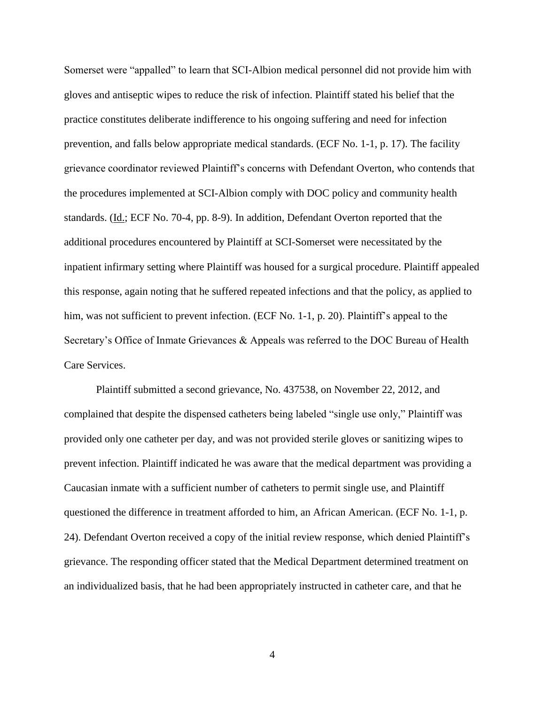Somerset were "appalled" to learn that SCI-Albion medical personnel did not provide him with gloves and antiseptic wipes to reduce the risk of infection. Plaintiff stated his belief that the practice constitutes deliberate indifference to his ongoing suffering and need for infection prevention, and falls below appropriate medical standards. (ECF No. 1-1, p. 17). The facility grievance coordinator reviewed Plaintiff's concerns with Defendant Overton, who contends that the procedures implemented at SCI-Albion comply with DOC policy and community health standards. (Id.; ECF No. 70-4, pp. 8-9). In addition, Defendant Overton reported that the additional procedures encountered by Plaintiff at SCI-Somerset were necessitated by the inpatient infirmary setting where Plaintiff was housed for a surgical procedure. Plaintiff appealed this response, again noting that he suffered repeated infections and that the policy, as applied to him, was not sufficient to prevent infection. (ECF No. 1-1, p. 20). Plaintiff's appeal to the Secretary's Office of Inmate Grievances & Appeals was referred to the DOC Bureau of Health Care Services.

Plaintiff submitted a second grievance, No. 437538, on November 22, 2012, and complained that despite the dispensed catheters being labeled "single use only," Plaintiff was provided only one catheter per day, and was not provided sterile gloves or sanitizing wipes to prevent infection. Plaintiff indicated he was aware that the medical department was providing a Caucasian inmate with a sufficient number of catheters to permit single use, and Plaintiff questioned the difference in treatment afforded to him, an African American. (ECF No. 1-1, p. 24). Defendant Overton received a copy of the initial review response, which denied Plaintiff's grievance. The responding officer stated that the Medical Department determined treatment on an individualized basis, that he had been appropriately instructed in catheter care, and that he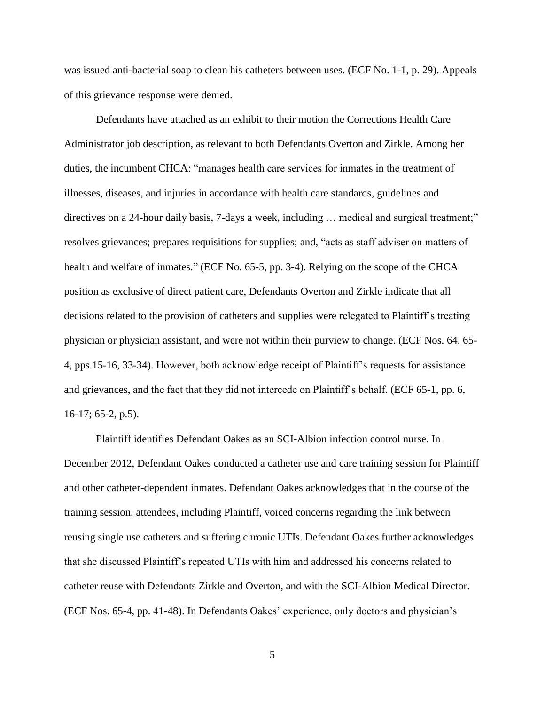was issued anti-bacterial soap to clean his catheters between uses. (ECF No. 1-1, p. 29). Appeals of this grievance response were denied.

Defendants have attached as an exhibit to their motion the Corrections Health Care Administrator job description, as relevant to both Defendants Overton and Zirkle. Among her duties, the incumbent CHCA: "manages health care services for inmates in the treatment of illnesses, diseases, and injuries in accordance with health care standards, guidelines and directives on a 24-hour daily basis, 7-days a week, including … medical and surgical treatment;" resolves grievances; prepares requisitions for supplies; and, "acts as staff adviser on matters of health and welfare of inmates." (ECF No. 65-5, pp. 3-4). Relying on the scope of the CHCA position as exclusive of direct patient care, Defendants Overton and Zirkle indicate that all decisions related to the provision of catheters and supplies were relegated to Plaintiff's treating physician or physician assistant, and were not within their purview to change. (ECF Nos. 64, 65- 4, pps.15-16, 33-34). However, both acknowledge receipt of Plaintiff's requests for assistance and grievances, and the fact that they did not intercede on Plaintiff's behalf. (ECF 65-1, pp. 6, 16-17; 65-2, p.5).

Plaintiff identifies Defendant Oakes as an SCI-Albion infection control nurse. In December 2012, Defendant Oakes conducted a catheter use and care training session for Plaintiff and other catheter-dependent inmates. Defendant Oakes acknowledges that in the course of the training session, attendees, including Plaintiff, voiced concerns regarding the link between reusing single use catheters and suffering chronic UTIs. Defendant Oakes further acknowledges that she discussed Plaintiff's repeated UTIs with him and addressed his concerns related to catheter reuse with Defendants Zirkle and Overton, and with the SCI-Albion Medical Director. (ECF Nos. 65-4, pp. 41-48). In Defendants Oakes' experience, only doctors and physician's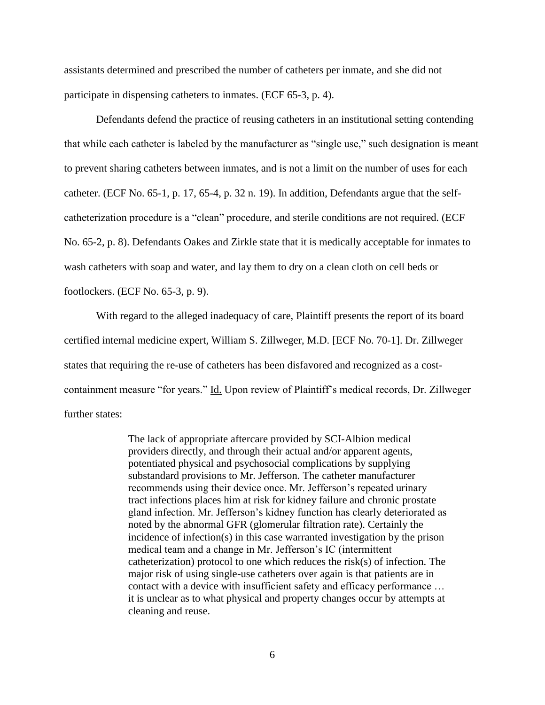assistants determined and prescribed the number of catheters per inmate, and she did not participate in dispensing catheters to inmates. (ECF 65-3, p. 4).

Defendants defend the practice of reusing catheters in an institutional setting contending that while each catheter is labeled by the manufacturer as "single use," such designation is meant to prevent sharing catheters between inmates, and is not a limit on the number of uses for each catheter. (ECF No. 65-1, p. 17, 65-4, p. 32 n. 19). In addition, Defendants argue that the selfcatheterization procedure is a "clean" procedure, and sterile conditions are not required. (ECF No. 65-2, p. 8). Defendants Oakes and Zirkle state that it is medically acceptable for inmates to wash catheters with soap and water, and lay them to dry on a clean cloth on cell beds or footlockers. (ECF No. 65-3, p. 9).

With regard to the alleged inadequacy of care, Plaintiff presents the report of its board certified internal medicine expert, William S. Zillweger, M.D. [ECF No. 70-1]. Dr. Zillweger states that requiring the re-use of catheters has been disfavored and recognized as a costcontainment measure "for years." Id. Upon review of Plaintiff's medical records, Dr. Zillweger further states:

> The lack of appropriate aftercare provided by SCI-Albion medical providers directly, and through their actual and/or apparent agents, potentiated physical and psychosocial complications by supplying substandard provisions to Mr. Jefferson. The catheter manufacturer recommends using their device once. Mr. Jefferson's repeated urinary tract infections places him at risk for kidney failure and chronic prostate gland infection. Mr. Jefferson's kidney function has clearly deteriorated as noted by the abnormal GFR (glomerular filtration rate). Certainly the incidence of infection(s) in this case warranted investigation by the prison medical team and a change in Mr. Jefferson's IC (intermittent catheterization) protocol to one which reduces the risk(s) of infection. The major risk of using single-use catheters over again is that patients are in contact with a device with insufficient safety and efficacy performance … it is unclear as to what physical and property changes occur by attempts at cleaning and reuse.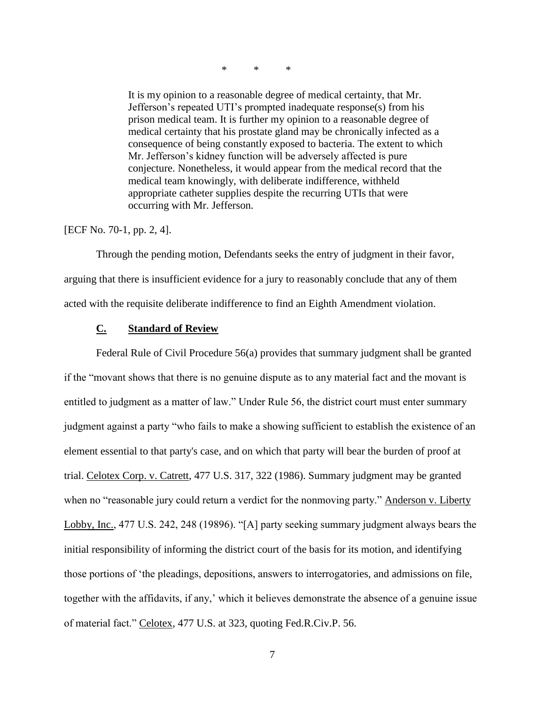\* \* \*

It is my opinion to a reasonable degree of medical certainty, that Mr. Jefferson's repeated UTI's prompted inadequate response(s) from his prison medical team. It is further my opinion to a reasonable degree of medical certainty that his prostate gland may be chronically infected as a consequence of being constantly exposed to bacteria. The extent to which Mr. Jefferson's kidney function will be adversely affected is pure conjecture. Nonetheless, it would appear from the medical record that the medical team knowingly, with deliberate indifference, withheld appropriate catheter supplies despite the recurring UTIs that were occurring with Mr. Jefferson.

[ECF No. 70-1, pp. 2, 4].

Through the pending motion, Defendants seeks the entry of judgment in their favor, arguing that there is insufficient evidence for a jury to reasonably conclude that any of them acted with the requisite deliberate indifference to find an Eighth Amendment violation.

# **C. Standard of Review**

Federal Rule of Civil Procedure 56(a) provides that summary judgment shall be granted if the "movant shows that there is no genuine dispute as to any material fact and the movant is entitled to judgment as a matter of law." Under Rule 56, the district court must enter summary judgment against a party "who fails to make a showing sufficient to establish the existence of an element essential to that party's case, and on which that party will bear the burden of proof at trial. Celotex Corp. v. Catrett, 477 U.S. 317, 322 (1986). Summary judgment may be granted when no "reasonable jury could return a verdict for the nonmoving party." Anderson v. Liberty Lobby, Inc., 477 U.S. 242, 248 (19896). "[A] party seeking summary judgment always bears the initial responsibility of informing the district court of the basis for its motion, and identifying those portions of 'the pleadings, depositions, answers to interrogatories, and admissions on file, together with the affidavits, if any,' which it believes demonstrate the absence of a genuine issue of material fact." Celotex, 477 U.S. at 323, quoting Fed.R.Civ.P. 56.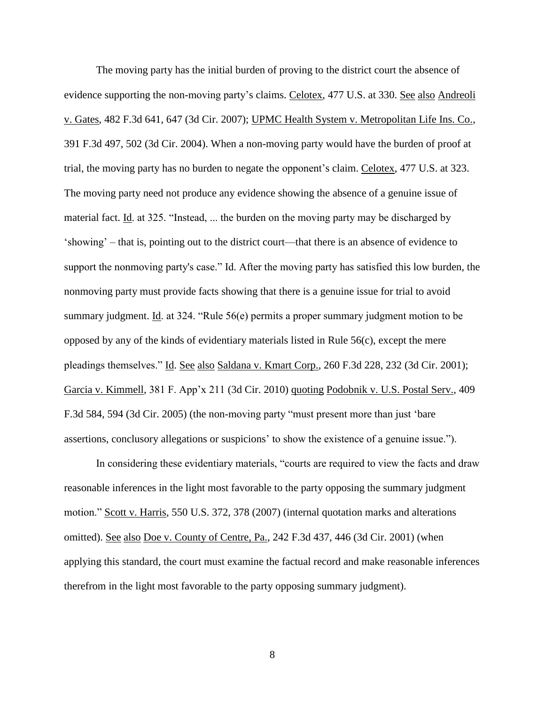The moving party has the initial burden of proving to the district court the absence of evidence supporting the non-moving party's claims. Celotex, 477 U.S. at 330. See also Andreoli v. Gates, 482 F.3d 641, 647 (3d Cir. 2007); UPMC Health System v. Metropolitan Life Ins. Co., 391 F.3d 497, 502 (3d Cir. 2004). When a non-moving party would have the burden of proof at trial, the moving party has no burden to negate the opponent's claim. Celotex, 477 U.S. at 323. The moving party need not produce any evidence showing the absence of a genuine issue of material fact. Id. at 325. "Instead, ... the burden on the moving party may be discharged by 'showing' – that is, pointing out to the district court—that there is an absence of evidence to support the nonmoving party's case." Id. After the moving party has satisfied this low burden, the nonmoving party must provide facts showing that there is a genuine issue for trial to avoid summary judgment. Id. at 324. "Rule 56(e) permits a proper summary judgment motion to be opposed by any of the kinds of evidentiary materials listed in Rule 56(c), except the mere pleadings themselves." Id. See also Saldana v. Kmart Corp., 260 F.3d 228, 232 (3d Cir. 2001); Garcia v. Kimmell, 381 F. App'x 211 (3d Cir. 2010) quoting Podobnik v. U.S. Postal Serv., 409 F.3d 584, 594 (3d Cir. 2005) (the non-moving party "must present more than just 'bare assertions, conclusory allegations or suspicions' to show the existence of a genuine issue.").

In considering these evidentiary materials, "courts are required to view the facts and draw reasonable inferences in the light most favorable to the party opposing the summary judgment motion." Scott v. Harris, 550 U.S. 372, 378 (2007) (internal quotation marks and alterations omitted). See also Doe v. County of Centre, Pa., 242 F.3d 437, 446 (3d Cir. 2001) (when applying this standard, the court must examine the factual record and make reasonable inferences therefrom in the light most favorable to the party opposing summary judgment).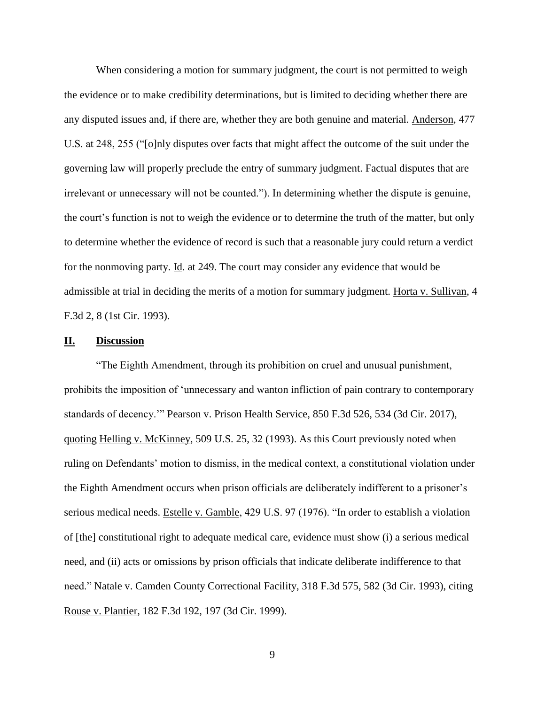When considering a motion for summary judgment, the court is not permitted to weigh the evidence or to make credibility determinations, but is limited to deciding whether there are any disputed issues and, if there are, whether they are both genuine and material. Anderson, 477 U.S. at 248, 255 ("[o]nly disputes over facts that might affect the outcome of the suit under the governing law will properly preclude the entry of summary judgment. Factual disputes that are irrelevant or unnecessary will not be counted."). In determining whether the dispute is genuine, the court's function is not to weigh the evidence or to determine the truth of the matter, but only to determine whether the evidence of record is such that a reasonable jury could return a verdict for the nonmoving party. Id. at 249. The court may consider any evidence that would be admissible at trial in deciding the merits of a motion for summary judgment. Horta v. Sullivan, 4 F.3d 2, 8 (1st Cir. 1993).

### **II. Discussion**

"The Eighth Amendment, through its prohibition on cruel and unusual punishment, prohibits the imposition of 'unnecessary and wanton infliction of pain contrary to contemporary standards of decency.'" Pearson v. Prison Health Service, 850 F.3d 526, 534 (3d Cir. 2017), quoting Helling v. McKinney, 509 U.S. 25, 32 (1993). As this Court previously noted when ruling on Defendants' motion to dismiss, in the medical context, a constitutional violation under the Eighth Amendment occurs when prison officials are deliberately indifferent to a prisoner's serious medical needs. Estelle v. Gamble, 429 U.S. 97 (1976). "In order to establish a violation of [the] constitutional right to adequate medical care, evidence must show (i) a serious medical need, and (ii) acts or omissions by prison officials that indicate deliberate indifference to that need." Natale v. Camden County Correctional Facility, 318 F.3d 575, 582 (3d Cir. 1993), citing Rouse v. Plantier, 182 F.3d 192, 197 (3d Cir. 1999).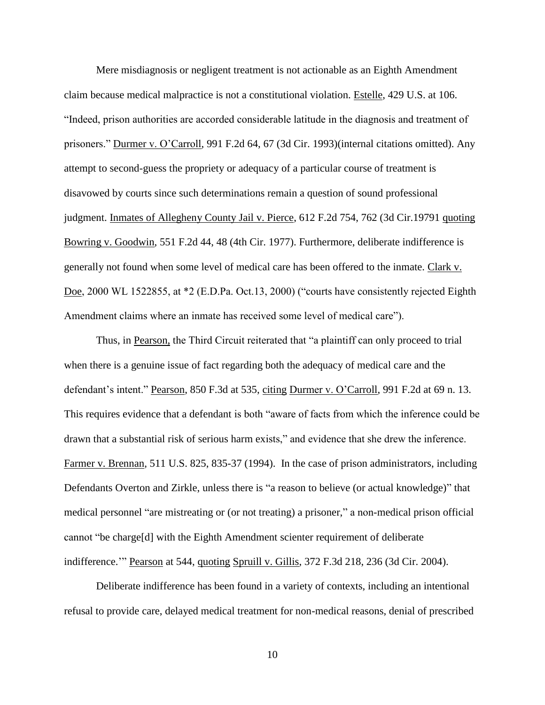Mere misdiagnosis or negligent treatment is not actionable as an Eighth Amendment claim because medical malpractice is not a constitutional violation. Estelle, 429 U.S. at 106. "Indeed, prison authorities are accorded considerable latitude in the diagnosis and treatment of prisoners." Durmer v. O'Carroll, 991 F.2d 64, 67 (3d Cir. 1993)(internal citations omitted). Any attempt to second-guess the propriety or adequacy of a particular course of treatment is disavowed by courts since such determinations remain a question of sound professional judgment. Inmates of Allegheny County Jail v. Pierce, 612 F.2d 754, 762 (3d Cir.19791 quoting Bowring v. Goodwin, 551 F.2d 44, 48 (4th Cir. 1977). Furthermore, deliberate indifference is generally not found when some level of medical care has been offered to the inmate. Clark v. Doe, 2000 WL 1522855, at \*2 (E.D.Pa. Oct.13, 2000) ("courts have consistently rejected Eighth Amendment claims where an inmate has received some level of medical care").

Thus, in Pearson, the Third Circuit reiterated that "a plaintiff can only proceed to trial when there is a genuine issue of fact regarding both the adequacy of medical care and the defendant's intent." Pearson, 850 F.3d at 535, citing Durmer v. O'Carroll, 991 F.2d at 69 n. 13. This requires evidence that a defendant is both "aware of facts from which the inference could be drawn that a substantial risk of serious harm exists," and evidence that she drew the inference. Farmer v. Brennan, 511 U.S. 825, 835-37 (1994). In the case of prison administrators, including Defendants Overton and Zirkle, unless there is "a reason to believe (or actual knowledge)" that medical personnel "are mistreating or (or not treating) a prisoner," a non-medical prison official cannot "be charge[d] with the Eighth Amendment scienter requirement of deliberate indifference.'" Pearson at 544, quoting Spruill v. Gillis, 372 F.3d 218, 236 (3d Cir. 2004).

Deliberate indifference has been found in a variety of contexts, including an intentional refusal to provide care, delayed medical treatment for non-medical reasons, denial of prescribed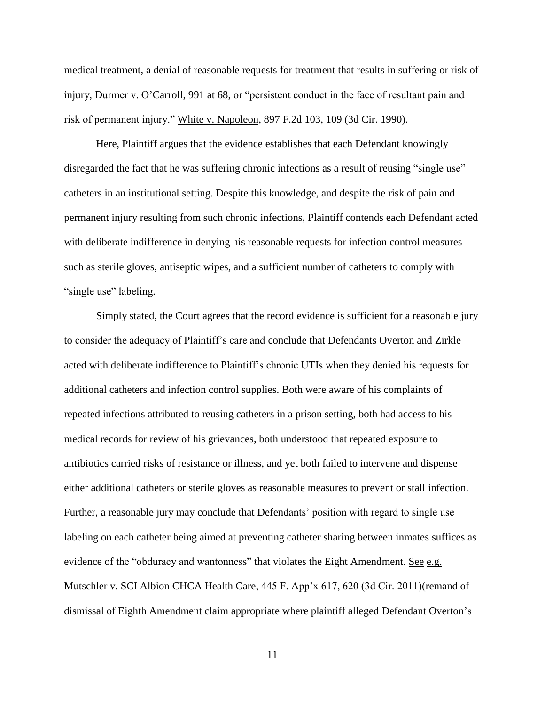medical treatment, a denial of reasonable requests for treatment that results in suffering or risk of injury, Durmer v. O'Carroll, 991 at 68, or "persistent conduct in the face of resultant pain and risk of permanent injury." White v. Napoleon, 897 F.2d 103, 109 (3d Cir. 1990).

Here, Plaintiff argues that the evidence establishes that each Defendant knowingly disregarded the fact that he was suffering chronic infections as a result of reusing "single use" catheters in an institutional setting. Despite this knowledge, and despite the risk of pain and permanent injury resulting from such chronic infections, Plaintiff contends each Defendant acted with deliberate indifference in denying his reasonable requests for infection control measures such as sterile gloves, antiseptic wipes, and a sufficient number of catheters to comply with "single use" labeling.

Simply stated, the Court agrees that the record evidence is sufficient for a reasonable jury to consider the adequacy of Plaintiff's care and conclude that Defendants Overton and Zirkle acted with deliberate indifference to Plaintiff's chronic UTIs when they denied his requests for additional catheters and infection control supplies. Both were aware of his complaints of repeated infections attributed to reusing catheters in a prison setting, both had access to his medical records for review of his grievances, both understood that repeated exposure to antibiotics carried risks of resistance or illness, and yet both failed to intervene and dispense either additional catheters or sterile gloves as reasonable measures to prevent or stall infection. Further, a reasonable jury may conclude that Defendants' position with regard to single use labeling on each catheter being aimed at preventing catheter sharing between inmates suffices as evidence of the "obduracy and wantonness" that violates the Eight Amendment. See e.g. Mutschler v. SCI Albion CHCA Health Care, 445 F. App'x 617, 620 (3d Cir. 2011)(remand of dismissal of Eighth Amendment claim appropriate where plaintiff alleged Defendant Overton's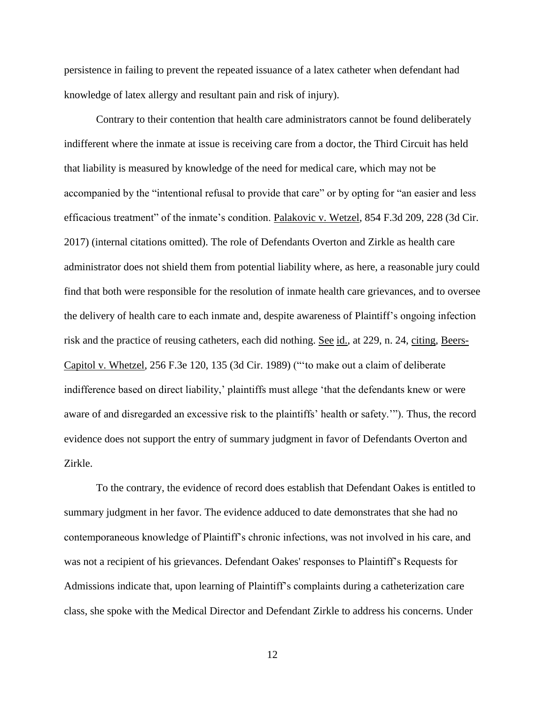persistence in failing to prevent the repeated issuance of a latex catheter when defendant had knowledge of latex allergy and resultant pain and risk of injury).

Contrary to their contention that health care administrators cannot be found deliberately indifferent where the inmate at issue is receiving care from a doctor, the Third Circuit has held that liability is measured by knowledge of the need for medical care, which may not be accompanied by the "intentional refusal to provide that care" or by opting for "an easier and less efficacious treatment" of the inmate's condition. Palakovic v. Wetzel, 854 F.3d 209, 228 (3d Cir. 2017) (internal citations omitted). The role of Defendants Overton and Zirkle as health care administrator does not shield them from potential liability where, as here, a reasonable jury could find that both were responsible for the resolution of inmate health care grievances, and to oversee the delivery of health care to each inmate and, despite awareness of Plaintiff's ongoing infection risk and the practice of reusing catheters, each did nothing. See id., at 229, n. 24, citing, Beers-Capitol v. Whetzel, 256 F.3e 120, 135 (3d Cir. 1989) ("'to make out a claim of deliberate indifference based on direct liability,' plaintiffs must allege 'that the defendants knew or were aware of and disregarded an excessive risk to the plaintiffs' health or safety.'"). Thus, the record evidence does not support the entry of summary judgment in favor of Defendants Overton and Zirkle.

To the contrary, the evidence of record does establish that Defendant Oakes is entitled to summary judgment in her favor. The evidence adduced to date demonstrates that she had no contemporaneous knowledge of Plaintiff's chronic infections, was not involved in his care, and was not a recipient of his grievances. Defendant Oakes' responses to Plaintiff's Requests for Admissions indicate that, upon learning of Plaintiff's complaints during a catheterization care class, she spoke with the Medical Director and Defendant Zirkle to address his concerns. Under